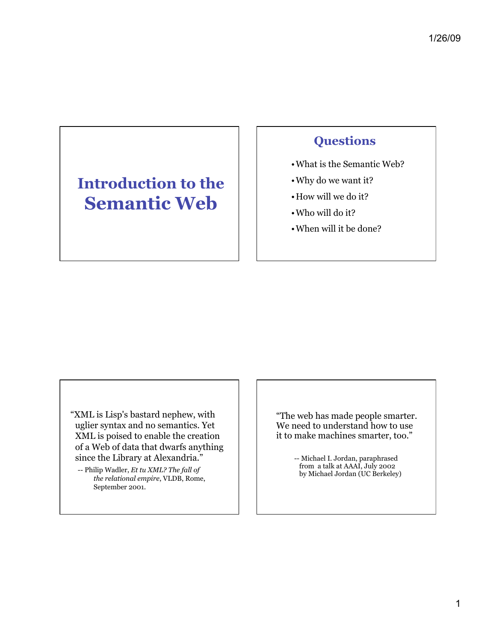# **Introduction to the Semantic Web**

## **Questions**

- •What is the Semantic Web?
- •Why do we want it?
- •How will we do it?
- •Who will do it?
- •When will it be done?

"XML is Lisp's bastard nephew, with uglier syntax and no semantics. Yet XML is poised to enable the creation of a Web of data that dwarfs anything since the Library at Alexandria."

-- Philip Wadler, *Et tu XML? The fall of the relational empire*, VLDB, Rome, September 2001.

"The web has made people smarter. We need to understand how to use it to make machines smarter, too."

> -- Michael I. Jordan, paraphrased from a talk at AAAI, July 2002 by Michael Jordan (UC Berkeley)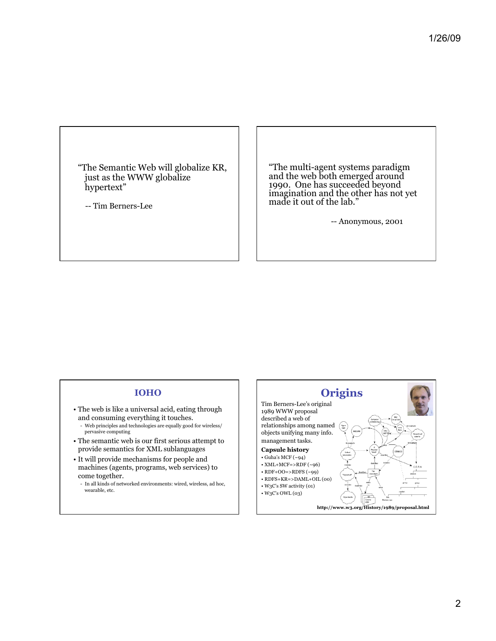"The Semantic Web will globalize KR, just as the WWW globalize hypertext"

-- Tim Berners-Lee

"The multi-agent systems paradigm and the web both emerged around 1990. One has succeeded beyond imagination and the other has not yet made it out of the lab."

-- Anonymous, 2001

### **IOHO**

- The web is like a universal acid, eating through and consuming everything it touches. - Web principles and technologies are equally good for wireless/ pervasive computing
- The semantic web is our first serious attempt to provide semantics for XML sublanguages
- It will provide mechanisms for people and machines (agents, programs, web services) to come together.
	- In all kinds of networked environments: wired, wireless, ad hoc, wearable, etc.

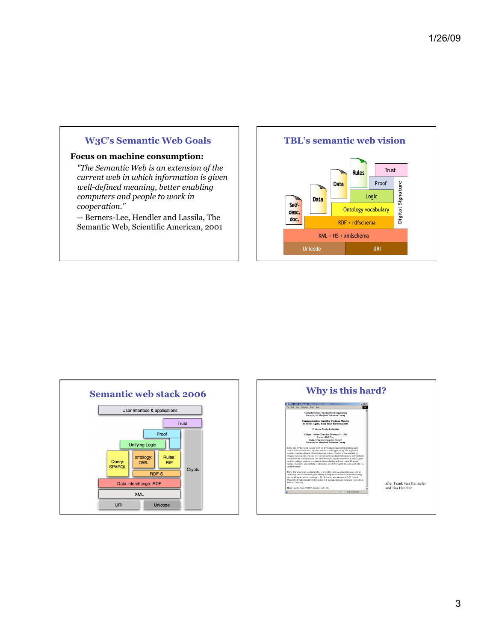## **W3C's Semantic Web Goals**

### **Focus on machine consumption:**

*"The Semantic Web is an extension of the current web in which information is given well-defined meaning, better enabling computers and people to work in cooperation."*

-- Berners-Lee, Hendler and Lassila, The Semantic Web, Scientific American, 2001

## **TBL's semantic web vision**





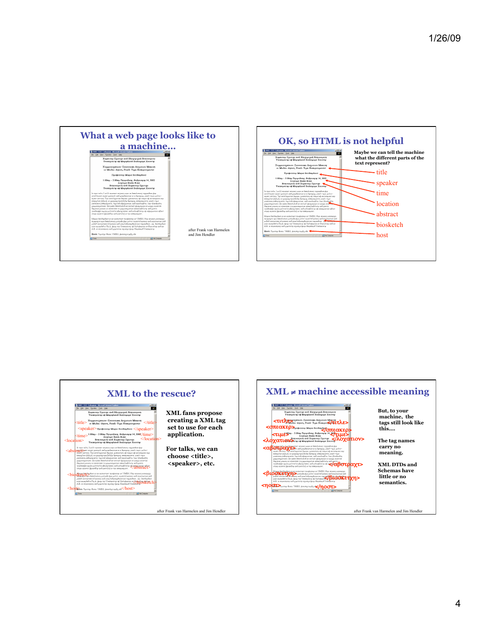





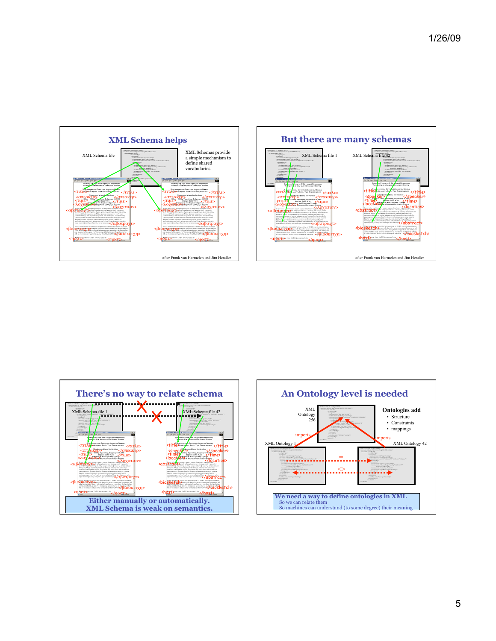





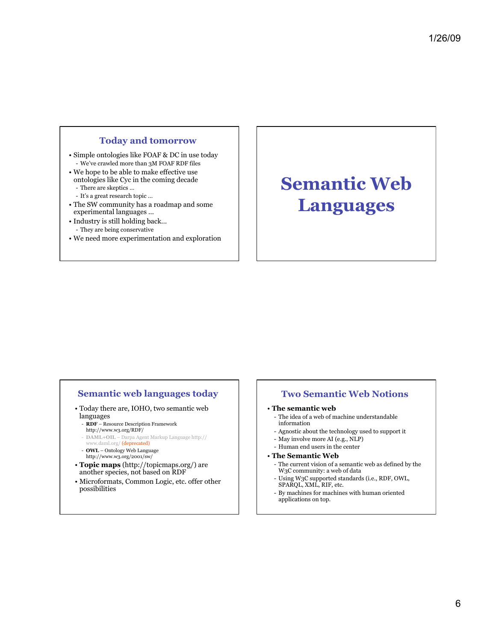### **Today and tomorrow**

- Simple ontologies like FOAF & DC in use today - We've crawled more than 3M FOAF RDF files
- We hope to be able to make effective use ontologies like Cyc in the coming decade - There are skeptics …
	- It's a great research topic …
- The SW community has a roadmap and some experimental languages …
- Industry is still holding back… - They are being conservative
- We need more experimentation and exploration

# **Semantic Web Languages**

### **Semantic web languages today**

- Today there are, IOHO, two semantic web languages
	- **RDF**  Resource Description Framework http://www.w3.org/RDF/
	- **DAML+OIL** Darpa Agent Markup Language http:// www.daml.org/ (deprecated) - **OWL** – Ontology Web Language
	- http://www.w3.org/2001/sw/
- **Topic maps** (http://topicmaps.org/) are another species, not based on RDF
- Microformats, Common Logic, etc. offer other possibilities

### **Two Semantic Web Notions**

- **The semantic web** 
	- The idea of a web of machine understandable information
	- Agnostic about the technology used to support it
	- May involve more AI (e.g., NLP)
	- Human end users in the center
- **The Semantic Web** 
	- The current vision of a semantic web as defined by the W3C community: a web of data
	- Using W3C supported standards (i.e., RDF, OWL, SPARQL, XML, RIF, etc.
- By machines for machines with human oriented applications on top.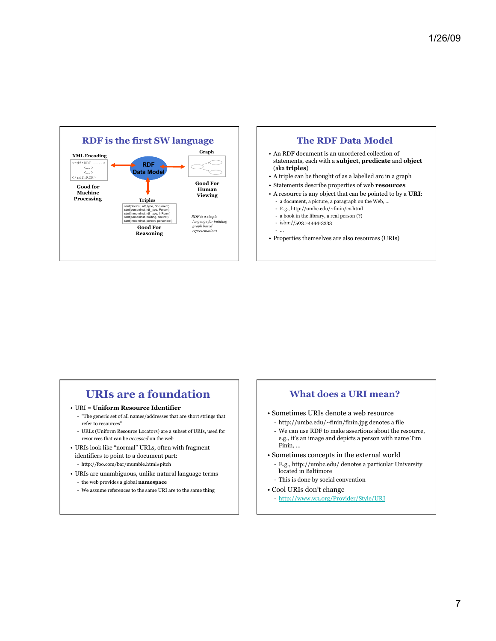

### **The RDF Data Model**  • An RDF document is an unordered collection of

- statements, each with a **subject**, **predicate** and **object** (aka **triples**)
- A triple can be thought of as a labelled arc in a graph
- Statements describe properties of web **resources**
- A resource is any object that can be pointed to by a **URI**:
	- a document, a picture, a paragraph on the Web, …
	- E.g., http://umbc.edu/~finin/cv.html
	- a book in the library, a real person (?)
	- isbn://5031-4444-3333 - …
- Properties themselves are also resources (URIs)

## **URIs are a foundation**

- URI = **Uniform Resource Identifier** 
	- "The generic set of all names/addresses that are short strings that refer to resources"
	- URLs (Uniform Resource Locators) are a subset of URIs, used for resources that can be *accessed* on the web
- URIs look like "normal" URLs, often with fragment identifiers to point to a document part:
	- http://foo.com/bar/mumble.html#pitch
- URIs are unambiguous, unlike natural language terms
	- the web provides a global **namespace**
	- We assume references to the same URI are to the same thing

### **What does a URI mean?**

- Sometimes URIs denote a web resource
- http://umbc.edu/~finin/finin.jpg denotes a file
- We can use RDF to make assertions about the resource, e.g., it's an image and depicts a person with name Tim Finin, …
- Sometimes concepts in the external world
	- E.g., http://umbc.edu/ denotes a particular University located in Baltimore
- This is done by social convention
- Cool URIs don't change
	- http://www.w3.org/Provider/Style/URI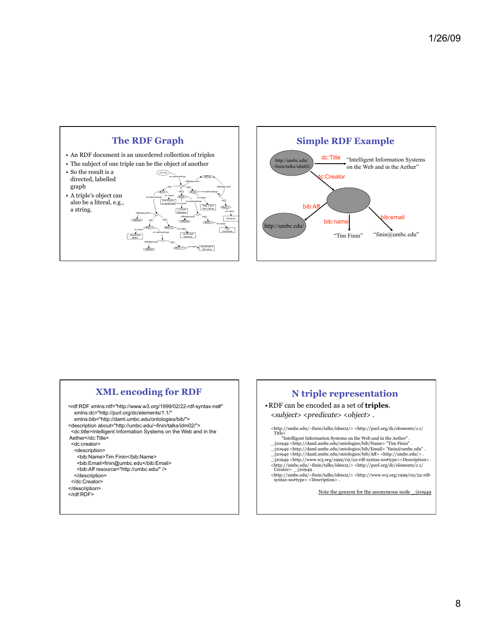



### **XML encoding for RDF**

<rdf:RDF xmlns:rdf="http://www.w3.org/1999/02/22-rdf-syntax-ns#" xmlns:dc="http://purl.org/dc/elements/1.1/" xmlns:bib="http://daml.umbc.edu/ontologies/bib/"> <description about="http://umbc.edu/~finin/talks/idm02/"> <dc:title>Intelligent Information Systems on the Web and in the Aether</dc:Title> <dc:creator> <description> <br />bib:Name>Tim Finin</bib:Name> <bib:Email>finin@umbc.edu</bib:Email> <bib:Aff resource="http://umbc.edu/" /> </description> </dc:Creator> </description> </rdf:RDF>

### **N triple representation**

•RDF can be encoded as a set of **triples**. <*subject*> <*predicate*> <*object*> .

<http://umbc.edu/~finin/talks/idm02/> <http://purl.org/dc/elements/1.1/ Title>

- 
- "Intelligent Information Systems on the Web and in the Aether" .<br>\_:j10949 <http://daml.umbc.edu/ontologies/bib/Name> "Tim Finin" .<br>\_:j10949 <http://daml.umbc.edu/ontologies/bib/Email> "finin@umbc.edu" .
- \_:j10949 <http://daml.umbc.edu/ontologies/bib/Aff> <http://umbc.edu/> . \_:j10949 <http://www.w3.org/1999/02/22-rdf-syntax-ns#type><Description> .
- 
- $\langle \text{http://umb.cedu/~finin/talks/idmo2/> <http://purl.org/dc/elements/1.1/> \nCréator> _j10949 \nChtrp://umb.c.edu/~finin/talks/idmo2/>$

Note the gensym for the anonymous node \_:j10949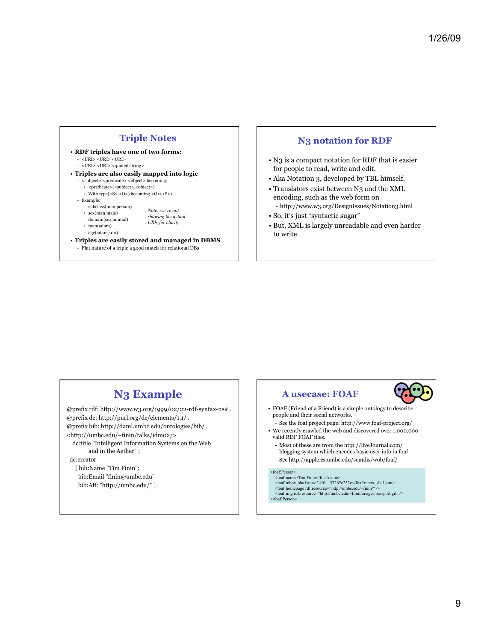### **Triple Notes**

- **RDF triples have one of two forms:**  - <URI> <URI> <URI>
	- $$\textrm<$URL>~$GHz$$
- **Triples are also easily mapped into logic** 
	- $<$  subject  $>$   $<$  predicate  $>$   $<$  object  $>$  becoming:
	- <predicate>(<subject>,<object>) With  $type(<\mathbb{S}>,<\mathbb{O}>)$  becoming  $<\mathbb{O}>(<\mathbb{S}>)$
	- Example:
	- subclass(man,person)
		- sex(man,male) *; Note: we're not ; showing the actual*
		- domain(sex,animal)
		- man(adam)
		- age(adam,100)

### • **Triples are easily stored and managed in DBMS**

*; URIs for clarity* 

- Flat nature of a triple a good match for relational DBs

### **N3 notation for RDF**

- N3 is a compact notation for RDF that is easier for people to read, write and edit.
- Aka Notation 3, developed by TBL himself.
- Translators exist between N3 and the XML encoding, such as the web form on - http://www.w3.org/DesignIssues/Notation3.html
- So, it's just "syntactic sugar"
- But, XML is largely unreadable and even harder to write

## **N3 Example**

 $@$  prefix rdf: http://www.w3.org/1999/02/22-rdf-syntax-ns# . @prefix dc: http://purl.org/dc/elements/1.1/ . @prefix bib: http://daml.umbc.edu/ontologies/bib/ . <http://umbc.edu/~finin/talks/idm02/> dc:title "Intelligent Information Systems on the Web and in the Aether" ;

dc:creator

 [ bib:Name "Tim Finin"; bib:Email "finin@umbc.edu" bib:Aff: "http://umbc.edu/" ] .

### **A usecase: FOAF**

- FOAF (Friend of a Friend) is a simple ontology to describe people and their social networks.
- See the foaf project page: http://www.foaf-project.org/
- We recently crawled the web and discovered over 1,000,000 valid RDF FOAF files.
- Most of these are from the http://liveJournal.com/ blogging system which encodes basic user info in foaf
- See http://apple.cs.umbc.edu/semdis/wob/foaf/

### <foaf:Person>

- <foaf:name>Tim Finin</foaf:name> <foaf:mbox\_sha1sum>2410…37262c252e</foaf:mbox\_sha1sum>
- <foaf:homepage rdf:resource="http://umbc.edu/~finin/" /> <foaf:img rdf:resource="http://umbc.edu/~finin/images/passport.gif" />
- $<$ /foaf:Person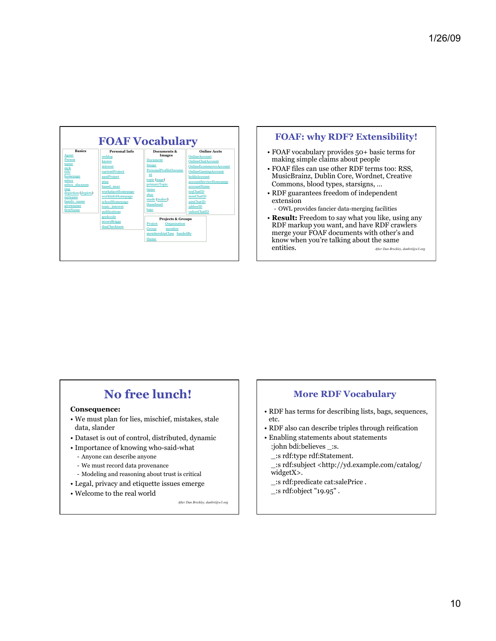



- FOAF vocabulary provides 50+ basic terms for making simple claims about people
- FOAF files can use other RDF terms too: RSS, MusicBrainz, Dublin Core, Wordnet, Creative Commons, blood types, starsigns, …
- RDF guarantees freedom of independent extension

- OWL provides fancier data-merging facilities

• **Result:** Freedom to say what you like, using any RDF markup you want, and have RDF crawlers merge your FOAF documents with other's and know when you're talking about the same entities. *After Dan Brickley, danbri@w3.org* 

## **No free lunch!**

### **Consequence:**

- We must plan for lies, mischief, mistakes, stale data, slander
- Dataset is out of control, distributed, dynamic
- Importance of knowing who-said-what
	- Anyone can describe anyone
	- We must record data provenance
	- Modeling and reasoning about trust is critical
- Legal, privacy and etiquette issues emerge
- Welcome to the real world

*After Dan Brickley, danbri@w3.org* 

## **More RDF Vocabulary**

- RDF has terms for describing lists, bags, sequences, etc.
- RDF also can describe triples through reification
- Enabling statements about statements :john bdi:believes \_:s.
	- \_:s rdf:type rdf:Statement.
- \_:s rdf:subject <http://yd.example.com/catalog/ widgetX>.
- \_:s rdf:predicate cat:salePrice .
- \_:s rdf:object "19.95" .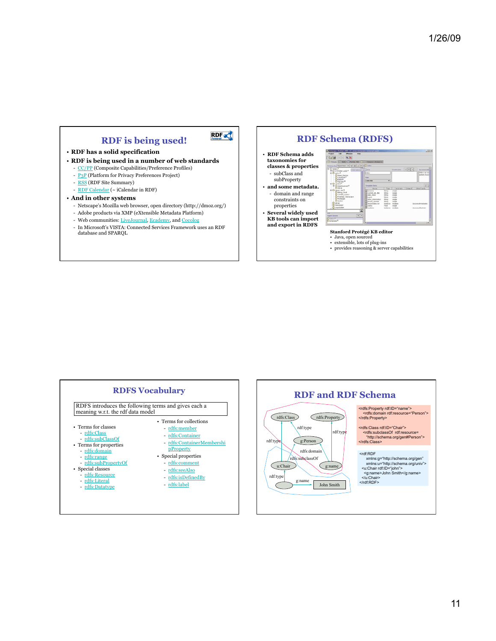



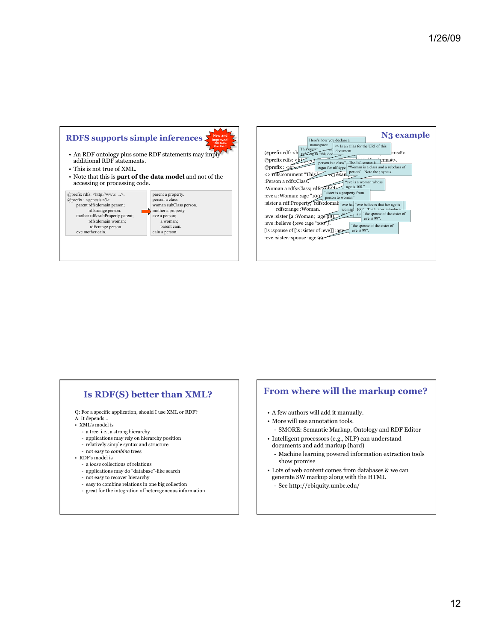

| N <sub>3</sub> example<br>Here's how you declare a<br>namespace.<br>$\degree$ Is an alias for the URI of this<br>This dep-<br>document<br>@prefix rdf: <h<br><math>-ns#</math>.<br/>ermg to "this dodumner<br/>@prefix rdfs: <math>\langle \psi \rangle</math><br/>ema#&gt;.<br/>The "a" syntax is<br/>person is a class".<br/>@prefix:<math>\langle</math><br/>sugar for rdf:type<br/>"Woman is a class and a subclass of<br/>person". Note the ; syntax.<br/>&lt;&gt;Tdfs:comment "This&gt;<br/><math>\sqrt{3}</math> exam<br/>:Person a rdfs:Class.<br/>eve is a woman whose<br/>age is 100."<br/>:Woman a rdfs:Class; rdfs<br/>sister is a property from<br/>:eve a :Woman; :age "100"<br/>person to woman"</h<br> |
|------------------------------------------------------------------------------------------------------------------------------------------------------------------------------------------------------------------------------------------------------------------------------------------------------------------------------------------------------------------------------------------------------------------------------------------------------------------------------------------------------------------------------------------------------------------------------------------------------------------------------------------------------------------------------------------------------------------------|
| :sister a rdf:Property, rdfs:domai<br>"eve has "eve believes that her age is"<br>rdfs:range:Woman.<br>100" The braces introduce<br>woman<br>"the spouse of the sister of<br>a r<br>:eve :sister [a :Woman; :age 98]<br>eve is 99".<br>:eve :believe {:eve :age "100"}.<br>"the spouse of the sister of<br>eve is 99".<br>spouse of [is : sister of : eve]] :age<br>:eve.:sister.:spouse :age 99                                                                                                                                                                                                                                                                                                                        |

### **Is RDF(S) better than XML?**

- Q: For a specific application, should I use XML or RDF?
- A: It depends…
- XML's model is
	- a tree, i.e., a strong hierarchy
	- applications may rely on hierarchy position
	- relatively simple syntax and structure
- not easy to *combine* trees
- RDF's model is
	- a *loose* collections of relations
	- applications may do "database"-like search
	- not easy to recover hierarchy
	- easy to combine relations in one big collection
	- great for the integration of heterogeneous information

### **From where will the markup come?**

- A few authors will add it manually.
- More will use annotation tools.
- SMORE: Semantic Markup, Ontology and RDF Editor
- Intelligent processors (e.g., NLP) can understand documents and add markup (hard)
	- Machine learning powered information extraction tools show promise
- Lots of web content comes from databases & we can generate SW markup along with the HTML
	- See http://ebiquity.umbc.edu/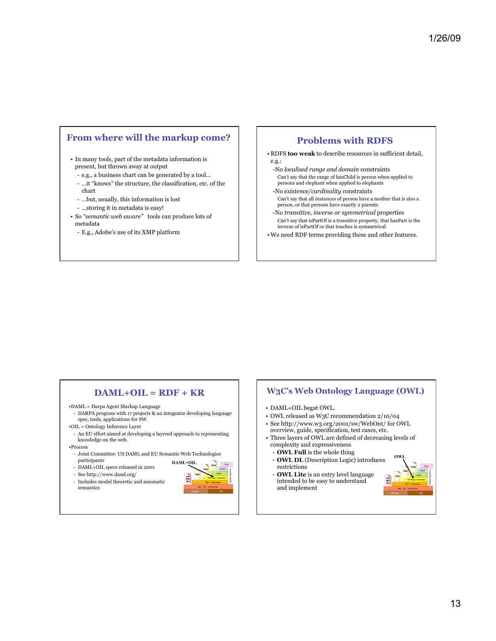### **From where will the markup come?**

• In many tools, part of the metadata information is present, but thrown away at output

- e.g., a business chart can be generated by a tool…
- …it "knows" the structure, the classification, etc. of the chart
- …but, usually, this information is lost
- …storing it in metadata is easy!
- So *"semantic web aware"* tools can produce lots of metadata
	- E.g., Adobe's use of its XMP platform

### **Problems with RDFS**

• RDFS **too weak** to describe resources in sufficient detail, e.g.:

- -No *localised range and domain* constraints Can't say that the range of hasChild is person when applied to persons and elephant when applied to elephants
- -No *existence/cardinality* constraints Can't say that all *instances* of person have a mother that is also a person, or that persons have exactly 2 parents
- -No *transitive, inverse or symmetrical* properties Can't say that isPartOf is a transitive property, that hasPart is the inverse of isPartOf or that touches is symmetrical
- •We need RDF terms providing these and other features.

### **DAML+OIL = RDF + KR**

•DAML = Darpa Agent Markup Language

- DARPA program with 17 projects & an integrator developing language spec, tools, applications for SW.
- •OIL = Ontology Inference Layer

- An EU effort aimed at developing a layered approach to representing knowledge on the web.

- •Process
- Joint Committee: US DAML and EU Semantic Web Technologies participants
- DAML+OIL specs released in 2001
- 
- See http://www.daml.org/
- Includes model theoretic and axiomatic semantics



### **W3C's Web Ontology Language (OWL)**

- DAML+OIL begat OWL.
- OWL released as W3C recommendation 2/10/04
- See http://www.w3.org/2001/sw/WebOnt/ for OWL overview, guide, specification, test cases, etc.
- Three layers of OWL are defined of decreasing levels of
	- complexity and expressiveness - **OWL Full** is the whole thing
	-
	- **OWL DL** (Description Logic) introduces restrictions
	- **OWL Lite** is an entry level language intended to be easy to understand and implement

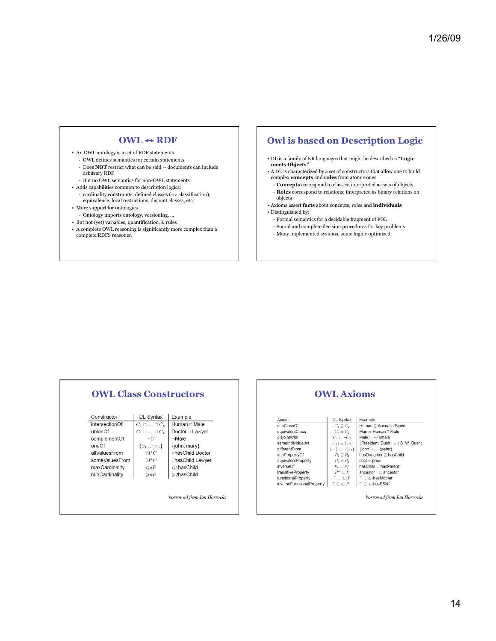### **OWL** ↔ **RDF**

- An OWL ontology is a set of RDF statements
	- OWL defines semantics for certain statements
	- Does **NOT** restrict what can be said -- documents can include arbitrary RDF
	- But no OWL semantics for non-OWL statements
- Adds capabilities common to description logics:
- cardinality constraints, defined classes (=> classification), equivalence, local restrictions, disjoint classes, etc.
- More support for ontologies
- Ontology imports ontology, versioning, …
- But not (yet) variables, quantification, & rules
- A complete OWL reasoning is significantly more complex than a complete RDFS reasoner.

## **Owl is based on Description Logic**

- DL is a family of KR languages that might be described as **"Logic meets Objects"**
- A DL is characterized by a set of constructors that allow one to build complex **concepts** and **roles** from atomic ones
- **Concepts** correspond to classes; interpreted as sets of objects
- **Roles** correspond to relations; interpreted as binary relations on objects
- Axioms assert **facts** about concepts, roles and **individuals**  • Distinguished by:

#### - Formal semantics for a decidable fragment of FOL

- Sound and complete decision procedures for key problems
- Many implemented systems, some highly optimized

### **OWL Class Constructors**

| Human □ Male<br>intersectionOf<br>$C_1 \sqcap \ldots \sqcap C_n$<br>unionOf<br>Doctor ⊔ Lawyer<br>$C_1 \sqcup \ldots \sqcup C_n$<br>$-Male$<br>complementOf<br>$-C$<br>oneOf<br>{john, mary}<br>$\{x_1 \ldots x_n\}$<br>∀hasChild Doctor<br>allValuesFrom<br>$\forall PC$<br>someValuesFrom<br>$\exists P.C$<br>∃hasChild.Lawyer | Example |  |
|----------------------------------------------------------------------------------------------------------------------------------------------------------------------------------------------------------------------------------------------------------------------------------------------------------------------------------|---------|--|
|                                                                                                                                                                                                                                                                                                                                  |         |  |
|                                                                                                                                                                                                                                                                                                                                  |         |  |
|                                                                                                                                                                                                                                                                                                                                  |         |  |
|                                                                                                                                                                                                                                                                                                                                  |         |  |
|                                                                                                                                                                                                                                                                                                                                  |         |  |
|                                                                                                                                                                                                                                                                                                                                  |         |  |
| $\leq$ 1hasChild<br>maxCardinality<br>$\leq nP$                                                                                                                                                                                                                                                                                  |         |  |
| $\geq$ 2hasChild<br>minCardinality<br>$\gg nP$                                                                                                                                                                                                                                                                                   |         |  |

*borrowed from Ian Horrocks* 

#### **OWL Axioms**  DL Syntax Example Axiom subClassOf  $Human \subseteq Animal \sqcap Biped$  $\begin{array}{c} C_1 \sqsubseteq C_2 \\ \noalign{\vskip 2mm} C_1 \equiv C_2 \end{array}$ equivalentClass  $Man \equiv Human \sqcap Male$  $C_1 \subseteq C_2$ <br>  $C_1 \subseteq \neg C_2$ <br>  $\{x_1\} \equiv \{x_2\}$ <br>  $\{x_1\} \subseteq \neg \{x_2\}$ <br>  $P_1 \subseteq P_2$ disjointWith Male  $\sqsubseteq \neg$ Female<br>{President\_Bush} = {G\_W\_Bush} sameIndividualAs differentFrom  $\{ \mathsf{John} \} \sqsubseteq \neg \{ \mathsf{peter} \}$  $hasDaughter \sqsubseteq hasChild$ subPropertyOf  $P_1 \equiv P_2$ <br>  $P_1 \equiv P_2$ <br>  $P^+ \sqsubseteq P$  $cost \equiv price$ equivalentProperty inverseOf  $hasChild \equiv hasParent$ transitiveProperty  $\mathsf{ancestor}^+ \sqsubseteq \mathsf{ancestor}$ functionalProperty  $\top \sqsubseteq {\leqslant} 1P$  $\sqsubseteq$   $\leqslant$  1has<br>Mother inverseFunctionalProperty  $\top \sqsubseteq {\leqslant} 1P$  $\top \sqsubseteq \leqslant$  I has SSN  $\top$ *borrowed from Ian Horrocks*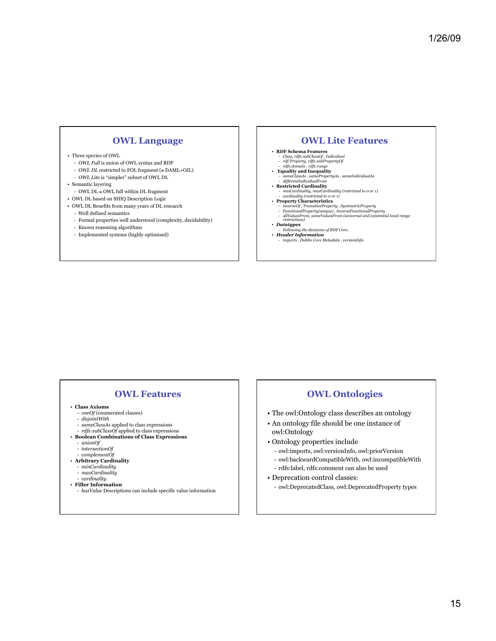### **OWL Language**

#### • Three species of OWL

- *OWL Full* is union of OWL syntax and RDF
- *OWL DL* restricted to FOL fragment (≅ DAML+OIL)
- *OWL Lite* is "simpler" subset of OWL DL
- Semantic layering
	- OWL $\text{DL} \cong \text{OWL}$  full within DL fragment
- OWL DL based on SHIQ Description Logic
- OWL DL Benefits from many years of DL research
	- Well defined semantics
	- Formal properties well understood (complexity, decidability)
	- Known reasoning algorithms
	- Implemented systems (highly optimised)

#### **OWL Lite Features**

- 
- **RDF Schema Features**  *Class, rdfs:subClassOf , Individual rdf:Property, rdfs:subPropertyOf rdfs:domain , rdfs:range*
- 
- • **Equality and Inequality**
- *sameClassAs , samePropertyAs , sameIndividualAs differentIndividualFrom*
- **Restricted Cardinality** *minCardinality, maxCardinality (restricted to 0 or 1) cardinality (restricted to 0 or 1)*  **Property Characteristics**
- 
- 
- inverseOf , TransitiveProperty , SymmetricProperty<br>- FunctionalProperty(unique) , InverseFunctionalProperty<br>- allValuesFrom, someValuesFrom (universal and existential local range<br>restrictions)
- 
- *Datatypes Following the decisions of RDF Core.*
- *Header Information imports , Dublin Core Metadata , versionInfo*

### **OWL Features**

- **Class Axioms** 
	- *oneOf* (enumerated classes)
	- *disjointWith*
	- *sameClassAs* applied to class expressions
- *rdfs:subClassOf* applied to class expressions **Boolean Combinations of Class Expressions** 
	- *unionOf*
	- *intersectionOf*
	- *complementOf*
- **Arbitrary Cardinality** 
	- *minCardinality* - *maxCardinality*
	-
- *cardinality*
- **Filler Information**
- *hasValue* Descriptions can include specific value information

### **OWL Ontologies**

- The owl:Ontology class describes an ontology
- An ontology file should be one instance of owl:Ontology
- Ontology properties include
- owl:imports, owl:versionInfo, owl:priorVersion
- owl:backwardCompatibleWith, owl:incompatibleWith
- rdfs:label, rdfs:comment can also be used
- Deprecation control classes:
	- owl:DeprecatedClass, owl:DeprecatedProperty types